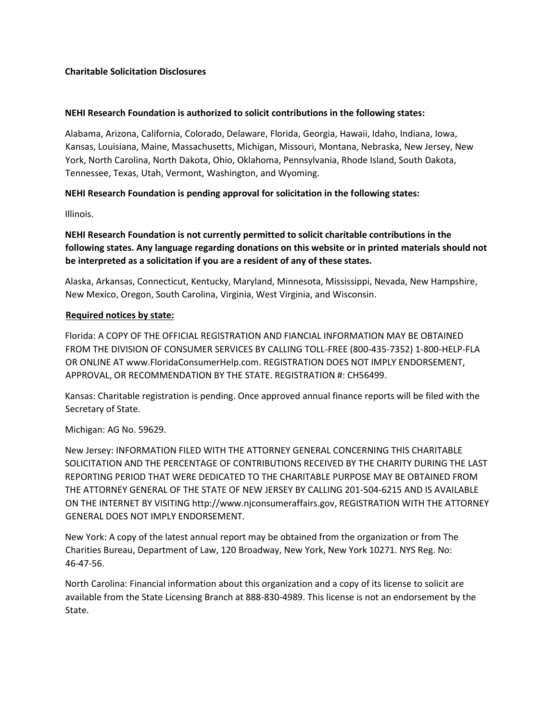## **Charitable Solicitation Disclosures**

## **NEHI Research Foundation is authorized to solicit contributions in the following states:**

Alabama, Arizona, California, Colorado, Delaware, Florida, Georgia, Hawaii, Idaho, Indiana, Iowa, Kansas, Louisiana, Maine, Massachusetts, Michigan, Missouri, Montana, Nebraska, New Jersey, New York, North Carolina, North Dakota, Ohio, Oklahoma, Pennsylvania, Rhode Island, South Dakota, Tennessee, Texas, Utah, Vermont, Washington, and Wyoming.

## **NEHI Research Foundation is pending approval for solicitation in the following states:**

Illinois.

**NEHI Research Foundation is not currently permitted to solicit charitable contributions in the following states. Any language regarding donations on this website or in printed materials should not be interpreted as a solicitation if you are a resident of any of these states.** 

Alaska, Arkansas, Connecticut, Kentucky, Maryland, Minnesota, Mississippi, Nevada, New Hampshire, New Mexico, Oregon, South Carolina, Virginia, West Virginia, and Wisconsin.

## **Required notices by state:**

Florida: A COPY OF THE OFFICIAL REGISTRATION AND FIANCIAL INFORMATION MAY BE OBTAINED FROM THE DIVISION OF CONSUMER SERVICES BY CALLING TOLL-FREE (800-435-7352) 1-800-HELP-FLA OR ONLINE AT www.FloridaConsumerHelp.com. REGISTRATION DOES NOT IMPLY ENDORSEMENT, APPROVAL, OR RECOMMENDATION BY THE STATE. REGISTRATION #: CH56499.

Kansas: Charitable registration is pending. Once approved annual finance reports will be filed with the Secretary of State.

Michigan: AG No. 59629.

New Jersey: INFORMATION FILED WITH THE ATTORNEY GENERAL CONCERNING THIS CHARITABLE SOLICITATION AND THE PERCENTAGE OF CONTRIBUTIONS RECEIVED BY THE CHARITY DURING THE LAST REPORTING PERIOD THAT WERE DEDICATED TO THE CHARITABLE PURPOSE MAY BE OBTAINED FROM THE ATTORNEY GENERAL OF THE STATE OF NEW JERSEY BY CALLING 201-504-6215 AND IS AVAILABLE ON THE INTERNET BY VISITING http://www.njconsumeraffairs.gov, REGISTRATION WITH THE ATTORNEY GENERAL DOES NOT IMPLY ENDORSEMENT.

New York: A copy of the latest annual report may be obtained from the organization or from The Charities Bureau, Department of Law, 120 Broadway, New York, New York 10271. NYS Reg. No: 46-47-56.

North Carolina: Financial information about this organization and a copy of its license to solicit are available from the State Licensing Branch at 888-830-4989. This license is not an endorsement by the State.